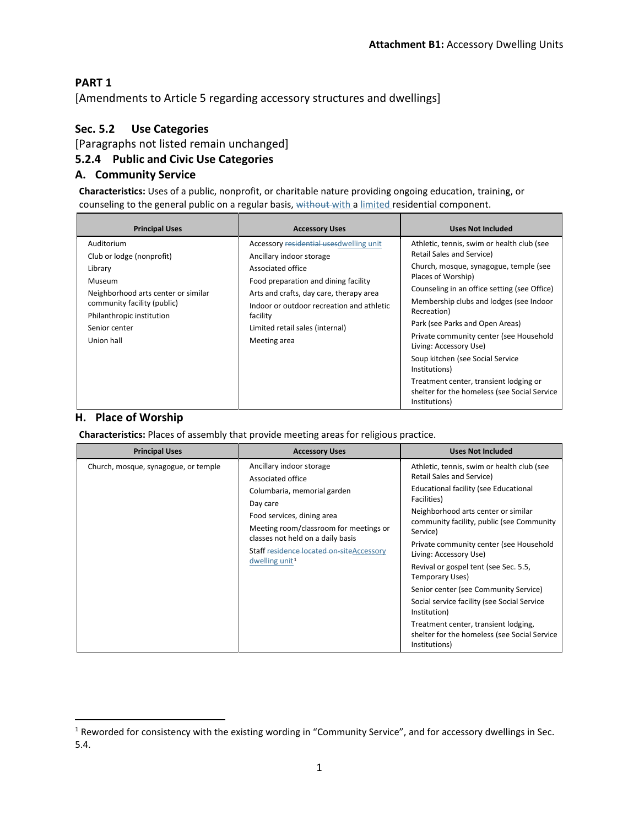### **PART 1**

[Amendments to Article 5 regarding accessory structures and dwellings]

### **Sec. 5.2 Use Categories**

[Paragraphs not listed remain unchanged]

### **5.2.4 Public and Civic Use Categories**

#### **A. Community Service**

**Characteristics:** Uses of a public, nonprofit, or charitable nature providing ongoing education, training, or counseling to the general public on a regular basis, without with a limited residential component.

| <b>Principal Uses</b>                                                                                                                                                                          | <b>Accessory Uses</b>                                                                                                                                                                                                                                                                    | <b>Uses Not Included</b>                                                                                                                                                                                                                                                                                                                                                                                                                                                                                                  |
|------------------------------------------------------------------------------------------------------------------------------------------------------------------------------------------------|------------------------------------------------------------------------------------------------------------------------------------------------------------------------------------------------------------------------------------------------------------------------------------------|---------------------------------------------------------------------------------------------------------------------------------------------------------------------------------------------------------------------------------------------------------------------------------------------------------------------------------------------------------------------------------------------------------------------------------------------------------------------------------------------------------------------------|
| Auditorium<br>Club or lodge (nonprofit)<br>Library<br>Museum<br>Neighborhood arts center or similar<br>community facility (public)<br>Philanthropic institution<br>Senior center<br>Union hall | Accessory residential uses dwelling unit<br>Ancillary indoor storage<br>Associated office<br>Food preparation and dining facility<br>Arts and crafts, day care, therapy area<br>Indoor or outdoor recreation and athletic<br>facility<br>Limited retail sales (internal)<br>Meeting area | Athletic, tennis, swim or health club (see<br>Retail Sales and Service)<br>Church, mosque, synagogue, temple (see<br>Places of Worship)<br>Counseling in an office setting (see Office)<br>Membership clubs and lodges (see Indoor<br>Recreation)<br>Park (see Parks and Open Areas)<br>Private community center (see Household<br>Living: Accessory Use)<br>Soup kitchen (see Social Service<br>Institutions)<br>Treatment center, transient lodging or<br>shelter for the homeless (see Social Service<br>Institutions) |

#### **H. Place of Worship**

**Characteristics:** Places of assembly that provide meeting areas for religious practice.

| <b>Principal Uses</b>                | <b>Accessory Uses</b>                                                                                                                                                                                                                                                           | <b>Uses Not Included</b>                                                                                                                                                                                                                                                                                                                                                                                                                                                                                                                                                          |
|--------------------------------------|---------------------------------------------------------------------------------------------------------------------------------------------------------------------------------------------------------------------------------------------------------------------------------|-----------------------------------------------------------------------------------------------------------------------------------------------------------------------------------------------------------------------------------------------------------------------------------------------------------------------------------------------------------------------------------------------------------------------------------------------------------------------------------------------------------------------------------------------------------------------------------|
| Church, mosque, synagogue, or temple | Ancillary indoor storage<br>Associated office<br>Columbaria, memorial garden<br>Day care<br>Food services, dining area<br>Meeting room/classroom for meetings or<br>classes not held on a daily basis<br>Staff residence located on siteAccessory<br>dwelling unit <sup>1</sup> | Athletic, tennis, swim or health club (see<br>Retail Sales and Service)<br>Educational facility (see Educational<br>Facilities)<br>Neighborhood arts center or similar<br>community facility, public (see Community<br>Service)<br>Private community center (see Household<br>Living: Accessory Use)<br>Revival or gospel tent (see Sec. 5.5,<br>Temporary Uses)<br>Senior center (see Community Service)<br>Social service facility (see Social Service<br>Institution)<br>Treatment center, transient lodging,<br>shelter for the homeless (see Social Service<br>Institutions) |

<span id="page-0-0"></span> <sup>1</sup> Reworded for consistency with the existing wording in "Community Service", and for accessory dwellings in Sec. 5.4.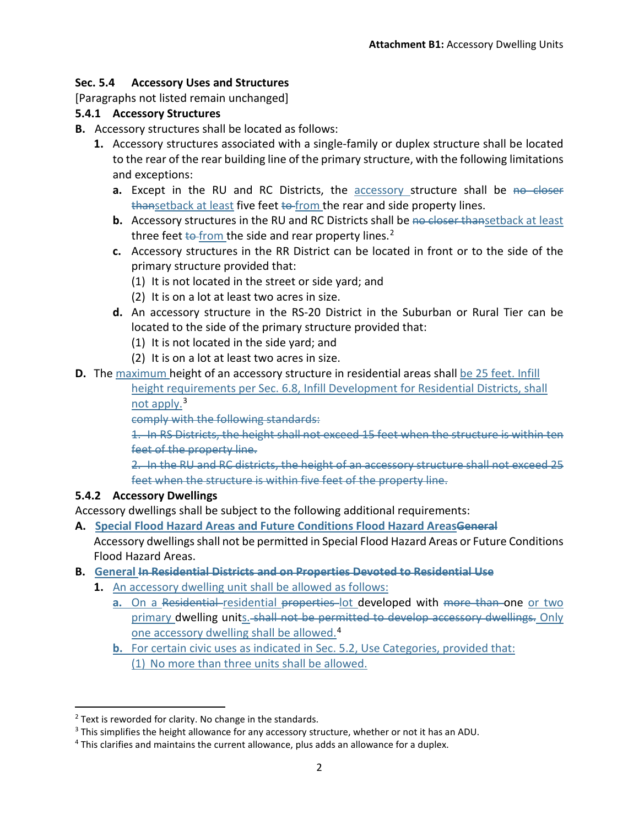# **Sec. 5.4 Accessory Uses and Structures**

[Paragraphs not listed remain unchanged]

## **5.4.1 Accessory Structures**

- **B.** Accessory structures shall be located as follows:
	- **1.** Accessory structures associated with a single-family or duplex structure shall be located to the rear of the rear building line of the primary structure, with the following limitations and exceptions:
		- **a.** Except in the RU and RC Districts, the accessory structure shall be no closer thansetback at least five feet to from the rear and side property lines.
		- **b.** Accessory structures in the RU and RC Districts shall be no closer thansetback at least three feet  $t$ <sup>o-</sup>from the side and rear property lines.<sup>[2](#page-1-0)</sup>
		- **c.** Accessory structures in the RR District can be located in front or to the side of the primary structure provided that:
			- (1) It is not located in the street or side yard; and
			- (2) It is on a lot at least two acres in size.
		- **d.** An accessory structure in the RS-20 District in the Suburban or Rural Tier can be located to the side of the primary structure provided that:
			- (1) It is not located in the side yard; and
			- (2) It is on a lot at least two acres in size.
- **D.** The maximum height of an accessory structure in residential areas shall be 25 feet. Infill

height requirements per Sec. 6.8, Infill Development for Residential Districts, shall not apply.[3](#page-1-1)

comply with the following standards:

1. In RS Districts, the height shall not exceed 15 feet when the structure is within ten feet of the property line.

2. In the RU and RC districts, the height of an accessory structure shall not exceed 25 feet when the structure is within five feet of the property line.

## **5.4.2 Accessory Dwellings**

Accessory dwellings shall be subject to the following additional requirements:

- **A. Special Flood Hazard Areas and Future Conditions Flood Hazard AreasGeneral** Accessory dwellings shall not be permitted in Special Flood Hazard Areas or Future Conditions Flood Hazard Areas.
- **B. General In Residential Districts and on Properties Devoted to Residential Use**
	- **1.** An accessory dwelling unit shall be allowed as follows:
		- a. On a Residential-residential properties-lot developed with more than-one or two primary dwelling units. shall not be permitted to develop accessory dwellings. Only one accessory dwelling shall be allowed.[4](#page-1-2)
		- **b.** For certain civic uses as indicated in Sec. 5.2, Use Categories, provided that: (1) No more than three units shall be allowed.

<span id="page-1-0"></span> $2$  Text is reworded for clarity. No change in the standards.

<span id="page-1-1"></span> $3$  This simplifies the height allowance for any accessory structure, whether or not it has an ADU.

<span id="page-1-2"></span><sup>&</sup>lt;sup>4</sup> This clarifies and maintains the current allowance, plus adds an allowance for a duplex.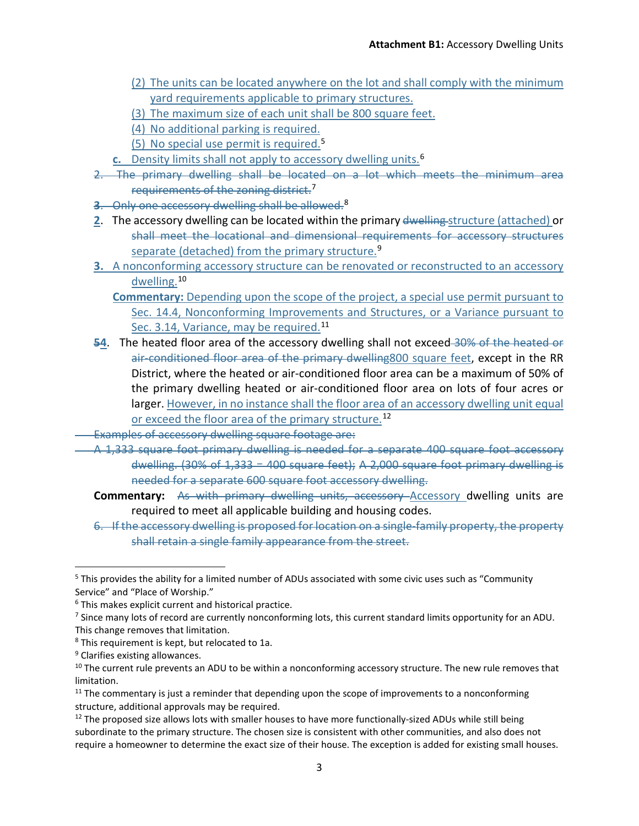- (2) The units can be located anywhere on the lot and shall comply with the minimum yard requirements applicable to primary structures.
- (3) The maximum size of each unit shall be 800 square feet.
- (4) No additional parking is required.
- (5) No special use permit is required.[5](#page-2-0)
- **c.** Density limits shall not apply to accessory dwelling units. [6](#page-2-1)
- 2. The primary dwelling shall be located on a lot which meets the minimum area requirements of the zoning district.<sup>[7](#page-2-2)</sup>
- **3**. Only one accessory dwelling shall be allowed.[8](#page-2-3)
- **2**. The accessory dwelling can be located within the primary dwelling structure (attached) or shall meet the locational and dimensional requirements for accessory structures separate (detached) from the primary structure.<sup>[9](#page-2-4)</sup>
- **3.** A nonconforming accessory structure can be renovated or reconstructed to an accessory dwelling.[10](#page-2-5)
	- **Commentary:** Depending upon the scope of the project, a special use permit pursuant to Sec. 14.4, Nonconforming Improvements and Structures, or a Variance pursuant to Sec. 3.14, Variance, may be required.<sup>[11](#page-2-6)</sup>
- **54**. The heated floor area of the accessory dwelling shall not exceed 30% of the heated or air-conditioned floor area of the primary dwelling800 square feet, except in the RR District, where the heated or air-conditioned floor area can be a maximum of 50% of the primary dwelling heated or air-conditioned floor area on lots of four acres or larger. However, in no instance shall the floor area of an accessory dwelling unit equal or exceed the floor area of the primary structure.<sup>[12](#page-2-7)</sup>
- Examples of accessory dwelling square footage are:
- A 1,333 square foot primary dwelling is needed for a separate 400 square foot accessory dwelling. (30% of 1,333 = 400 square feet); A 2,000 square foot primary dwelling is needed for a separate 600 square foot accessory dwelling.
	- **Commentary:** As with primary dwelling units, accessory Accessory dwelling units are required to meet all applicable building and housing codes.
	- 6. If the accessory dwelling is proposed for location on a single-family property, the property shall retain a single family appearance from the street.

<span id="page-2-0"></span><sup>&</sup>lt;sup>5</sup> This provides the ability for a limited number of ADUs associated with some civic uses such as "Community Service" and "Place of Worship."

<span id="page-2-1"></span> $6$  This makes explicit current and historical practice.

<span id="page-2-2"></span><sup>&</sup>lt;sup>7</sup> Since many lots of record are currently nonconforming lots, this current standard limits opportunity for an ADU. This change removes that limitation.

<span id="page-2-3"></span><sup>8</sup> This requirement is kept, but relocated to 1a.

<span id="page-2-4"></span><sup>&</sup>lt;sup>9</sup> Clarifies existing allowances.

<span id="page-2-5"></span><sup>&</sup>lt;sup>10</sup> The current rule prevents an ADU to be within a nonconforming accessory structure. The new rule removes that limitation.

<span id="page-2-6"></span> $11$  The commentary is just a reminder that depending upon the scope of improvements to a nonconforming structure, additional approvals may be required.

<span id="page-2-7"></span> $12$  The proposed size allows lots with smaller houses to have more functionally-sized ADUs while still being subordinate to the primary structure. The chosen size is consistent with other communities, and also does not require a homeowner to determine the exact size of their house. The exception is added for existing small houses.